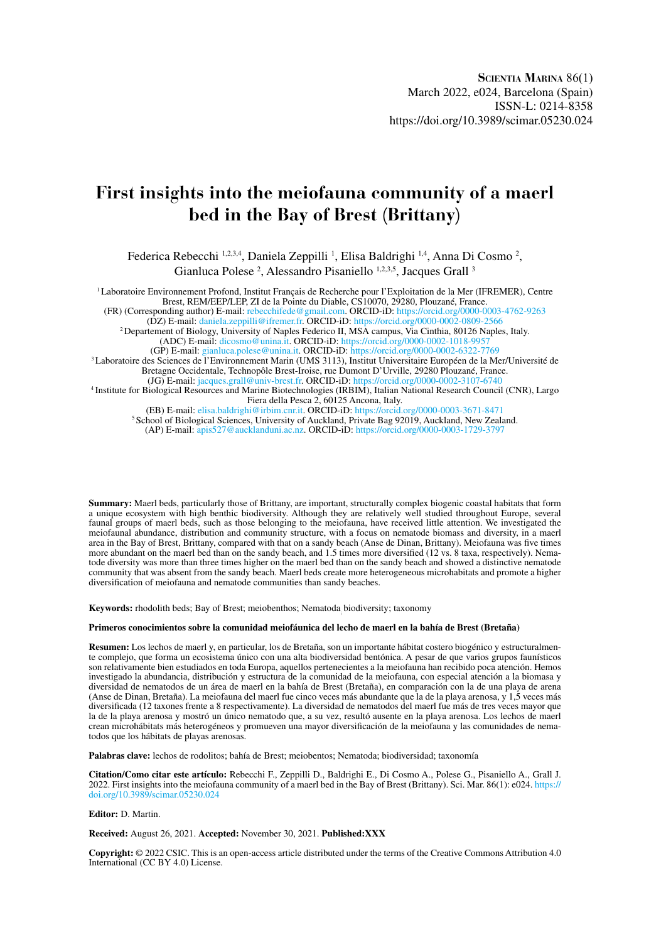# **First insights into the meiofauna community of a maerl bed in the Bay of Brest (Brittany)**

Federica Rebecchi <sup>1,2,3,4</sup>, Daniela Zeppilli<sup>1</sup>, Elisa Baldrighi <sup>1,4</sup>, Anna Di Cosmo<sup>2</sup>, Gianluca Polese<sup>2</sup>, Alessandro Pisaniello<sup>1,2,3,5</sup>, Jacques Grall<sup>3</sup>

1 Laboratoire Environnement Profond, Institut Français de Recherche pour l'Exploitation de la Mer (IFREMER), Centre Brest, REM/EEP/LEP, ZI de la Pointe du Diable, CS10070, 29280, Plouzané, France.

(FR) (Corresponding author) E-mail: [rebecchifede@gmail.com](mailto:rebecchifede@gmail.com). ORCID-iD: <https://orcid.org/0000-0003-4762-9263>

(DZ) E-mail: [daniela.zeppilli@ifremer.fr.](mailto:daniela.zeppilli@ifremer.fr) ORCID-iD:<https://orcid.org/0000-0002-0809-2566> 2 Departement of Biology, University of Naples Federico II, MSA campus, Via Cinthia, 80126 Naples, Italy.

(ADC) E-mail: [dicosmo@unina.it.](mailto:dicosmo@unina.it) ORCID-iD:<https://orcid.org/0000-0002-1018-9957> (GP) E-mail: [gianluca.polese@unina.it.](mailto:gianluca.polese@unina.it) ORCID-iD:<https://orcid.org/0000-0002-6322-7769>

<sup>3</sup> Laboratoire des Sciences de l'Environnement Marin (UMS 3113), Institut Universitaire Européen de la Mer/Université de Bretagne Occidentale, Technopôle Brest-Iroise, rue Dumont D'Urville, 29280 Plouzané, France.

(JG) E-mail: [jacques.grall@univ-brest.fr](mailto:jacques.grall@univ-brest.fr). ORCID-iD: <https://orcid.org/0000-0002-3107-6740>

4 Institute for Biological Resources and Marine Biotechnologies (IRBIM), Italian National Research Council (CNR), Largo Fiera della Pesca 2, 60125 Ancona, Italy.

(EB) E-mail: [elisa.baldrighi@irbim.cnr.it.](mailto:elisa.baldrighi@irbim.cnr.it) ORCID-iD:<https://orcid.org/0000-0003-3671-8471>

<sup>5</sup> School of Biological Sciences, University of Auckland, Private Bag 92019, Auckland, New Zealand.

(AP) E-mail: [apis527@aucklanduni.ac.nz.](mailto:apis527@aucklanduni.ac.nz) ORCID-iD: <https://orcid.org/0000-0003-1729-3797>

**Summary:** Maerl beds, particularly those of Brittany, are important, structurally complex biogenic coastal habitats that form a unique ecosystem with high benthic biodiversity. Although they are relatively well studied throughout Europe, several faunal groups of maerl beds, such as those belonging to the meiofauna, have received little attention. We investigated the meiofaunal abundance, distribution and community structure, with a focus on nematode biomass and diversity, in a maerl area in the Bay of Brest, Brittany, compared with that on a sandy beach (Anse de Dinan, Brittany). Meiofauna was five times more abundant on the maerl bed than on the sandy beach, and 1.5 times more diversified (12 vs. 8 taxa, respectively). Nematode diversity was more than three times higher on the maerl bed than on the sandy beach and showed a distinctive nematode community that was absent from the sandy beach. Maerl beds create more heterogeneous microhabitats and promote a higher diversification of meiofauna and nematode communities than sandy beaches.

**Keywords:** rhodolith beds; Bay of Brest; meiobenthos; Nematoda; biodiversity; taxonomy

#### **Primeros conocimientos sobre la comunidad meiofáunica del lecho de maerl en la bahía de Brest (Bretaña)**

**Resumen:** Los lechos de maerl y, en particular, los de Bretaña, son un importante hábitat costero biogénico y estructuralmente complejo, que forma un ecosistema único con una alta biodiversidad bentónica. A pesar de que varios grupos faunísticos son relativamente bien estudiados en toda Europa, aquellos pertenecientes a la meiofauna han recibido poca atención. Hemos investigado la abundancia, distribución y estructura de la comunidad de la meiofauna, con especial atención a la biomasa y diversidad de nematodos de un área de maerl en la bahía de Brest (Bretaña), en comparación con la de una playa de arena (Anse de Dinan, Bretaña). La meiofauna del maerl fue cinco veces más abundante que la de la playa arenosa, y 1,5 veces más diversificada (12 taxones frente a 8 respectivamente). La diversidad de nematodos del maerl fue más de tres veces mayor que la de la playa arenosa y mostró un único nematodo que, a su vez, resultó ausente en la playa arenosa. Los lechos de maerl crean microhábitats más heterogéneos y promueven una mayor diversificación de la meiofauna y las comunidades de nematodos que los hábitats de playas arenosas.

**Palabras clave:** lechos de rodolitos; bahía de Brest; meiobentos; Nematoda; biodiversidad; taxonomía

**Citation/Como citar este artículo:** Rebecchi F., Zeppilli D., Baldrighi E., Di Cosmo A., Polese G., Pisaniello A., Grall J. 2022. First insights into the meiofauna community of a maerl bed in the Bay of Brest (Brittany). Sci. Mar. 86(1): e024. [https://](https://doi.org/10.3989/scimar.05230.024) [doi.org/10.3989/scimar.05230.024](https://doi.org/10.3989/scimar.05230.024)

#### **Editor:** D. Martin.

**Received:** August 26, 2021. **Accepted:** November 30, 2021. **Published:XXX**

**Copyright:** © 2022 CSIC. This is an open-access article distributed under the terms of the Creative Commons Attribution 4.0 International (CC BY 4.0) License.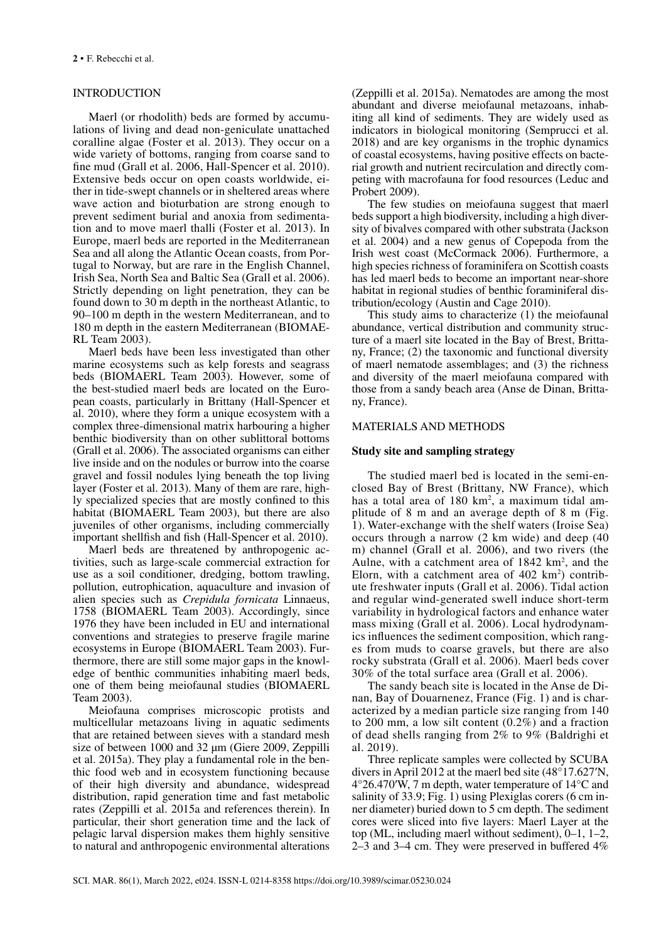# INTRODUCTION

Maerl (or rhodolith) beds are formed by accumulations of living and dead non-geniculate unattached coralline algae (Foster et al. 2013). They occur on a wide variety of bottoms, ranging from coarse sand to fine mud (Grall et al. 2006, Hall-Spencer et al. 2010). Extensive beds occur on open coasts worldwide, either in tide-swept channels or in sheltered areas where wave action and bioturbation are strong enough to prevent sediment burial and anoxia from sedimentation and to move maerl thalli (Foster et al. 2013). In Europe, maerl beds are reported in the Mediterranean Sea and all along the Atlantic Ocean coasts, from Portugal to Norway, but are rare in the English Channel, Irish Sea, North Sea and Baltic Sea (Grall et al. 2006). Strictly depending on light penetration, they can be found down to 30 m depth in the northeast Atlantic, to 90–100 m depth in the western Mediterranean, and to 180 m depth in the eastern Mediterranean (BIOMAE-RL Team 2003).

Maerl beds have been less investigated than other marine ecosystems such as kelp forests and seagrass beds (BIOMAERL Team 2003). However, some of the best-studied maerl beds are located on the European coasts, particularly in Brittany (Hall-Spencer et al. 2010), where they form a unique ecosystem with a complex three-dimensional matrix harbouring a higher benthic biodiversity than on other sublittoral bottoms (Grall et al. 2006). The associated organisms can either live inside and on the nodules or burrow into the coarse gravel and fossil nodules lying beneath the top living layer (Foster et al. 2013). Many of them are rare, highly specialized species that are mostly confined to this habitat (BIOMAERL Team 2003), but there are also juveniles of other organisms, including commercially important shellfish and fish (Hall-Spencer et al. 2010).

Maerl beds are threatened by anthropogenic activities, such as large-scale commercial extraction for use as a soil conditioner, dredging, bottom trawling, pollution, eutrophication, aquaculture and invasion of alien species such as *Crepidula fornicata* Linnaeus, 1758 (BIOMAERL Team 2003). Accordingly, since 1976 they have been included in EU and international conventions and strategies to preserve fragile marine ecosystems in Europe (BIOMAERL Team 2003). Furthermore, there are still some major gaps in the knowledge of benthic communities inhabiting maerl beds, one of them being meiofaunal studies (BIOMAERL Team 2003).

Meiofauna comprises microscopic protists and multicellular metazoans living in aquatic sediments that are retained between sieves with a standard mesh size of between 1000 and 32 μm (Giere 2009, Zeppilli et al. 2015a). They play a fundamental role in the benthic food web and in ecosystem functioning because of their high diversity and abundance, widespread distribution, rapid generation time and fast metabolic rates (Zeppilli et al. 2015a and references therein). In particular, their short generation time and the lack of pelagic larval dispersion makes them highly sensitive to natural and anthropogenic environmental alterations (Zeppilli et al. 2015a). Nematodes are among the most abundant and diverse meiofaunal metazoans, inhabiting all kind of sediments. They are widely used as indicators in biological monitoring (Semprucci et al. 2018) and are key organisms in the trophic dynamics of coastal ecosystems, having positive effects on bacterial growth and nutrient recirculation and directly competing with macrofauna for food resources (Leduc and Probert 2009).

The few studies on meiofauna suggest that maerl beds support a high biodiversity, including a high diversity of bivalves compared with other substrata (Jackson et al. 2004) and a new genus of Copepoda from the Irish west coast (McCormack 2006). Furthermore, a high species richness of foraminifera on Scottish coasts has led maerl beds to become an important near-shore habitat in regional studies of benthic foraminiferal distribution/ecology (Austin and Cage 2010).

This study aims to characterize (1) the meiofaunal abundance, vertical distribution and community structure of a maerl site located in the Bay of Brest, Brittany, France; (2) the taxonomic and functional diversity of maerl nematode assemblages; and (3) the richness and diversity of the maerl meiofauna compared with those from a sandy beach area (Anse de Dinan, Brittany, France).

### MATERIALS AND METHODS

### **Study site and sampling strategy**

The studied maerl bed is located in the semi-enclosed Bay of Brest (Brittany, NW France), which has a total area of 180 km<sup>2</sup>, a maximum tidal amplitude of 8 m and an average depth of 8 m (Fig. 1). Water-exchange with the shelf waters (Iroise Sea) occurs through a narrow (2 km wide) and deep (40 m) channel (Grall et al. 2006), and two rivers (the Aulne, with a catchment area of  $1842 \text{ km}^2$ , and the Elorn, with a catchment area of  $402 \text{ km}^2$ ) contribute freshwater inputs (Grall et al. 2006). Tidal action and regular wind-generated swell induce short-term variability in hydrological factors and enhance water mass mixing (Grall et al. 2006). Local hydrodynamics influences the sediment composition, which ranges from muds to coarse gravels, but there are also rocky substrata (Grall et al. 2006). Maerl beds cover 30% of the total surface area (Grall et al. 2006).

The sandy beach site is located in the Anse de Dinan, Bay of Douarnenez, France (Fig. 1) and is characterized by a median particle size ranging from 140 to 200 mm, a low silt content (0.2%) and a fraction of dead shells ranging from 2% to 9% (Baldrighi et al. 2019).

Three replicate samples were collected by SCUBA divers in April 2012 at the maerl bed site (48°17.627′N, 4°26.470′W, 7 m depth, water temperature of 14°C and salinity of 33.9; Fig. 1) using Plexiglas corers (6 cm inner diameter) buried down to 5 cm depth. The sediment cores were sliced into five layers: Maerl Layer at the top (ML, including maerl without sediment), 0–1, 1–2, 2–3 and 3–4 cm. They were preserved in buffered 4%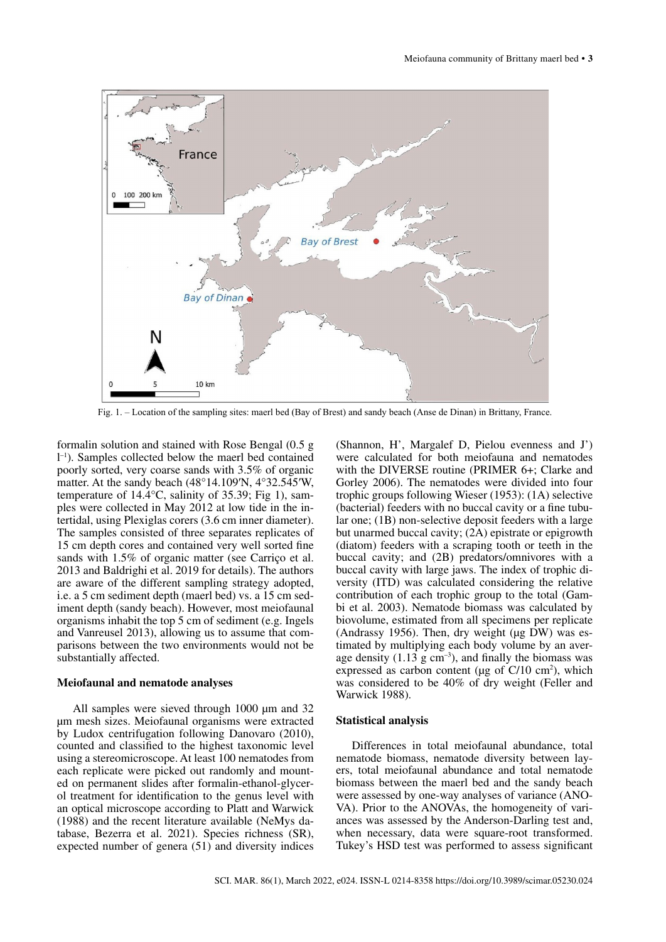

Fig. 1. – Location of the sampling sites: maerl bed (Bay of Brest) and sandy beach (Anse de Dinan) in Brittany, France.

formalin solution and stained with Rose Bengal (0.5 g l –1). Samples collected below the maerl bed contained poorly sorted, very coarse sands with 3.5% of organic matter. At the sandy beach (48°14.109′N, 4°32.545′W, temperature of 14.4°C, salinity of 35.39; Fig 1), samples were collected in May 2012 at low tide in the intertidal, using Plexiglas corers (3.6 cm inner diameter). The samples consisted of three separates replicates of 15 cm depth cores and contained very well sorted fine sands with 1.5% of organic matter (see Carriço et al. 2013 and Baldrighi et al. 2019 for details). The authors are aware of the different sampling strategy adopted, i.e. a 5 cm sediment depth (maerl bed) vs. a 15 cm sediment depth (sandy beach). However, most meiofaunal organisms inhabit the top 5 cm of sediment (e.g. Ingels and Vanreusel 2013), allowing us to assume that comparisons between the two environments would not be substantially affected.

#### **Meiofaunal and nematode analyses**

All samples were sieved through 1000  $\mu$ m and 32 µm mesh sizes. Meiofaunal organisms were extracted by Ludox centrifugation following Danovaro (2010), counted and classified to the highest taxonomic level using a stereomicroscope. At least 100 nematodes from each replicate were picked out randomly and mounted on permanent slides after formalin-ethanol-glycerol treatment for identification to the genus level with an optical microscope according to Platt and Warwick (1988) and the recent literature available (NeMys database, Bezerra et al. 2021). Species richness (SR), expected number of genera (51) and diversity indices

(Shannon, H', Margalef D, Pielou evenness and J') were calculated for both meiofauna and nematodes with the DIVERSE routine (PRIMER 6+; Clarke and Gorley 2006). The nematodes were divided into four trophic groups following Wieser (1953): (1A) selective (bacterial) feeders with no buccal cavity or a fine tubular one; (1B) non-selective deposit feeders with a large but unarmed buccal cavity; (2A) epistrate or epigrowth (diatom) feeders with a scraping tooth or teeth in the buccal cavity; and (2B) predators/omnivores with a buccal cavity with large jaws. The index of trophic diversity (ITD) was calculated considering the relative contribution of each trophic group to the total (Gambi et al. 2003). Nematode biomass was calculated by biovolume, estimated from all specimens per replicate (Andrassy 1956). Then, dry weight ( $\mu$ g DW) was estimated by multiplying each body volume by an average density  $(1.13 \text{ g cm}^{-3})$ , and finally the biomass was expressed as carbon content ( $\mu$ g of C/10 cm<sup>2</sup>), which was considered to be 40% of dry weight (Feller and Warwick 1988).

#### **Statistical analysis**

Differences in total meiofaunal abundance, total nematode biomass, nematode diversity between layers, total meiofaunal abundance and total nematode biomass between the maerl bed and the sandy beach were assessed by one-way analyses of variance (ANO-VA). Prior to the ANOVAs, the homogeneity of variances was assessed by the Anderson-Darling test and, when necessary, data were square-root transformed. Tukey's HSD test was performed to assess significant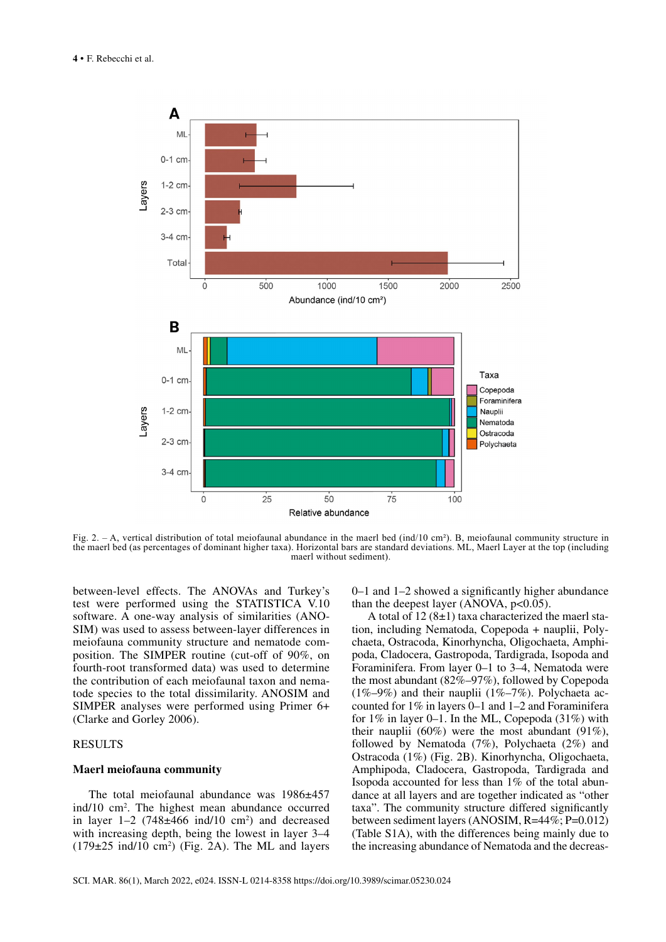

Fig. 2. – A, vertical distribution of total meiofaunal abundance in the maerl bed (ind/10 cm²). B, meiofaunal community structure in the maerl bed (as percentages of dominant higher taxa). Horizontal bars are standard deviations. ML, Maerl Layer at the top (including maerl without sediment).

between-level effects. The ANOVAs and Turkey's test were performed using the STATISTICA V.10 software. A one-way analysis of similarities (ANO-SIM) was used to assess between-layer differences in meiofauna community structure and nematode composition. The SIMPER routine (cut-off of 90%, on fourth-root transformed data) was used to determine the contribution of each meiofaunal taxon and nematode species to the total dissimilarity. ANOSIM and SIMPER analyses were performed using Primer 6+ (Clarke and Gorley 2006).

# **RESULTS**

## **Maerl meiofauna community**

The total meiofaunal abundance was 1986±457 ind/10 cm2 . The highest mean abundance occurred in layer  $1-2$  (748 $\pm$ 466 ind/10 cm<sup>2</sup>) and decreased with increasing depth, being the lowest in layer 3–4  $(179\pm 25 \text{ ind}/10 \text{ cm}^2)$  (Fig. 2A). The ML and layers 0–1 and 1–2 showed a significantly higher abundance than the deepest layer (ANOVA,  $p<0.05$ ).

A total of  $12(8\pm1)$  taxa characterized the maerl station, including Nematoda, Copepoda + nauplii, Polychaeta, Ostracoda, Kinorhyncha, Oligochaeta, Amphipoda, Cladocera, Gastropoda, Tardigrada, Isopoda and Foraminifera. From layer 0–1 to 3–4, Nematoda were the most abundant (82%–97%), followed by Copepoda  $(1\%–9\%)$  and their nauplii  $(1\%–7\%)$ . Polychaeta accounted for 1% in layers 0–1 and 1–2 and Foraminifera for  $1\%$  in layer 0–1. In the ML, Copepoda  $(31\%)$  with their nauplii  $(60\%)$  were the most abundant  $(91\%)$ . followed by Nematoda (7%), Polychaeta (2%) and Ostracoda (1%) (Fig. 2B). Kinorhyncha, Oligochaeta, Amphipoda, Cladocera, Gastropoda, Tardigrada and Isopoda accounted for less than 1% of the total abundance at all layers and are together indicated as "other taxa". The community structure differed significantly between sediment layers (ANOSIM, R=44%; P=0.012) (Table S1A), with the differences being mainly due to the increasing abundance of Nematoda and the decreas-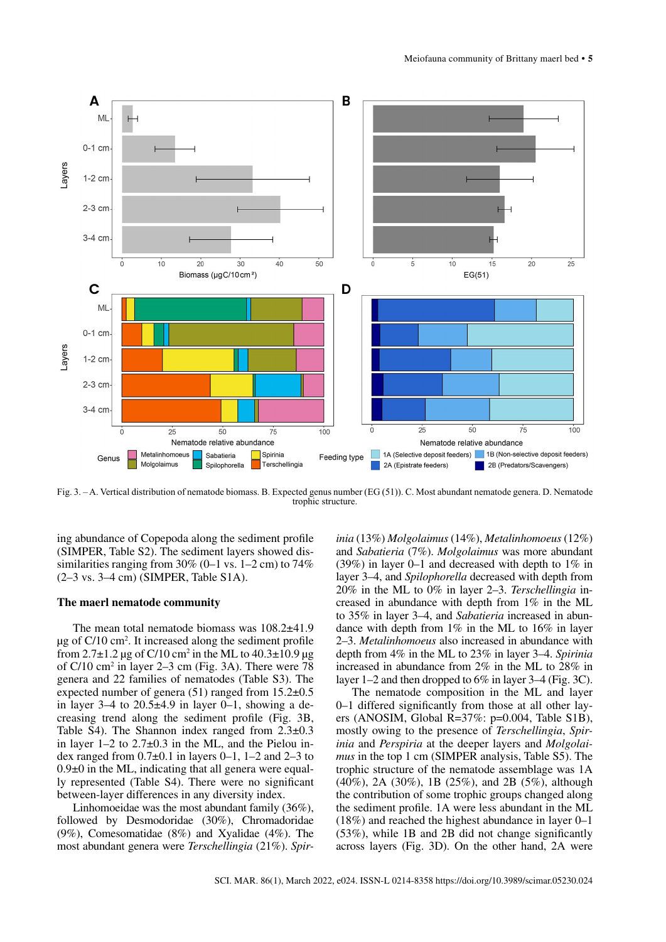

Fig. 3. – A. Vertical distribution of nematode biomass. B. Expected genus number (EG (51)). C. Most abundant nematode genera. D. Nematode trophic structure.

ing abundance of Copepoda along the sediment profile (SIMPER, Table S2). The sediment layers showed dissimilarities ranging from  $30\%$  (0–1 vs. 1–2 cm) to  $74\%$ (2–3 vs. 3–4 cm) (SIMPER, Table S1A).

## **The maerl nematode community**

The mean total nematode biomass was 108.2±41.9 µg of C/10 cm2 . It increased along the sediment profile from  $2.7 \pm 1.2$  µg of C/10 cm<sup>2</sup> in the ML to  $40.3 \pm 10.9$  µg of C/10 cm2 in layer 2–3 cm (Fig. 3A). There were 78 genera and 22 families of nematodes (Table S3). The expected number of genera  $(51)$  ranged from  $15.2\pm0.5$ in layer  $3-4$  to  $20.5\pm4.9$  in layer  $0-1$ , showing a decreasing trend along the sediment profile (Fig. 3B, Table S4). The Shannon index ranged from  $2.3\pm0.3$ in layer  $1-2$  to  $2.7\pm0.3$  in the ML, and the Pielou index ranged from  $0.7\pm0.1$  in layers 0–1, 1–2 and 2–3 to  $0.9\pm 0$  in the ML, indicating that all genera were equally represented (Table S4). There were no significant between-layer differences in any diversity index.

Linhomoeidae was the most abundant family (36%), followed by Desmodoridae (30%), Chromadoridae (9%), Comesomatidae (8%) and Xyalidae (4%). The most abundant genera were *Terschellingia* (21%). *Spir-*

*inia* (13%) *Molgolaimus* (14%), *Metalinhomoeus* (12%) and *Sabatieria* (7%). *Molgolaimus* was more abundant (39%) in layer 0–1 and decreased with depth to 1% in layer 3–4, and *Spilophorella* decreased with depth from 20% in the ML to 0% in layer 2–3. *Terschellingia* increased in abundance with depth from 1% in the ML to 35% in layer 3–4, and *Sabatieria* increased in abundance with depth from 1% in the ML to 16% in layer 2–3. *Metalinhomoeus* also increased in abundance with depth from 4% in the ML to 23% in layer 3–4. *Spirinia* increased in abundance from 2% in the ML to 28% in layer 1–2 and then dropped to 6% in layer 3–4 (Fig. 3C).

The nematode composition in the ML and layer 0–1 differed significantly from those at all other layers (ANOSIM, Global R=37%: p=0.004, Table S1B), mostly owing to the presence of *Terschellingia*, *Spirinia* and *Perspiria* at the deeper layers and *Molgolaimus* in the top 1 cm (SIMPER analysis, Table S5). The trophic structure of the nematode assemblage was 1A (40%), 2A (30%), 1B (25%), and 2B (5%), although the contribution of some trophic groups changed along the sediment profile. 1A were less abundant in the ML (18%) and reached the highest abundance in layer 0–1 (53%), while 1B and 2B did not change significantly across layers (Fig. 3D). On the other hand, 2A were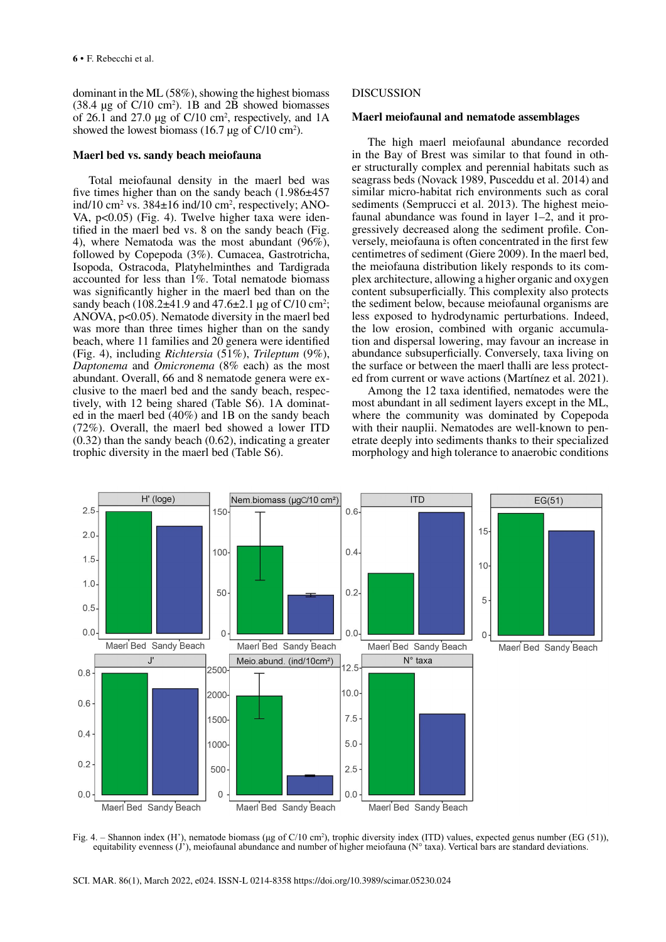dominant in the ML (58%), showing the highest biomass  $(38.4 \text{ µg of C}/10 \text{ cm}^2)$ . 1B and 2B showed biomasses of 26.1 and 27.0  $\mu$ g of C/10 cm<sup>2</sup>, respectively, and 1A showed the lowest biomass  $(16.7 \,\mu g \text{ of } C/10 \text{ cm}^2)$ .

### **Maerl bed vs. sandy beach meiofauna**

Total meiofaunal density in the maerl bed was five times higher than on the sandy beach (1.986±457 ind/10 cm<sup>2</sup> vs.  $384\pm16$  ind/10 cm<sup>2</sup>, respectively; ANO-VA, p<0.05) (Fig. 4). Twelve higher taxa were identified in the maerl bed vs. 8 on the sandy beach (Fig. 4), where Nematoda was the most abundant (96%), followed by Copepoda (3%). Cumacea, Gastrotricha, Isopoda, Ostracoda, Platyhelminthes and Tardigrada accounted for less than 1%. Total nematode biomass was significantly higher in the maerl bed than on the sandy beach  $(108.2 \pm 41.9 \text{ and } 47.6 \pm 2.1 \text{ µg of C}/10 \text{ cm}^2)$ ; ANOVA, p<0.05). Nematode diversity in the maerl bed was more than three times higher than on the sandy beach, where 11 families and 20 genera were identified (Fig. 4), including *Richtersia* (51%), *Trileptum* (9%), *Daptonema* and *Omicronema* (8% each) as the most abundant. Overall, 66 and 8 nematode genera were exclusive to the maerl bed and the sandy beach, respectively, with 12 being shared (Table S6). 1A dominated in the maerl bed (40%) and 1B on the sandy beach (72%). Overall, the maerl bed showed a lower ITD (0.32) than the sandy beach (0.62), indicating a greater trophic diversity in the maerl bed (Table S6).

# **DISCUSSION**

## **Maerl meiofaunal and nematode assemblages**

The high maerl meiofaunal abundance recorded in the Bay of Brest was similar to that found in other structurally complex and perennial habitats such as seagrass beds (Novack 1989, Pusceddu et al. 2014) and similar micro-habitat rich environments such as coral sediments (Semprucci et al. 2013). The highest meiofaunal abundance was found in layer 1–2, and it progressively decreased along the sediment profile. Conversely, meiofauna is often concentrated in the first few centimetres of sediment (Giere 2009). In the maerl bed, the meiofauna distribution likely responds to its complex architecture, allowing a higher organic and oxygen content subsuperficially. This complexity also protects the sediment below, because meiofaunal organisms are less exposed to hydrodynamic perturbations. Indeed, the low erosion, combined with organic accumulation and dispersal lowering, may favour an increase in abundance subsuperficially. Conversely, taxa living on the surface or between the maerl thalli are less protected from current or wave actions (Martínez et al. 2021).

Among the 12 taxa identified, nematodes were the most abundant in all sediment layers except in the ML, where the community was dominated by Copepoda with their nauplii. Nematodes are well-known to penetrate deeply into sediments thanks to their specialized morphology and high tolerance to anaerobic conditions



Fig. 4. – Shannon index (H'), nematode biomass (μg of C/10 cm<sup>2</sup>), trophic diversity index (ITD) values, expected genus number (EG (51)), equitability evenness  $(j')$ , meiofaunal abundance and number of higher meiofauna ( $N<sup>o</sup>$  taxa). Vertical bars are standard deviations.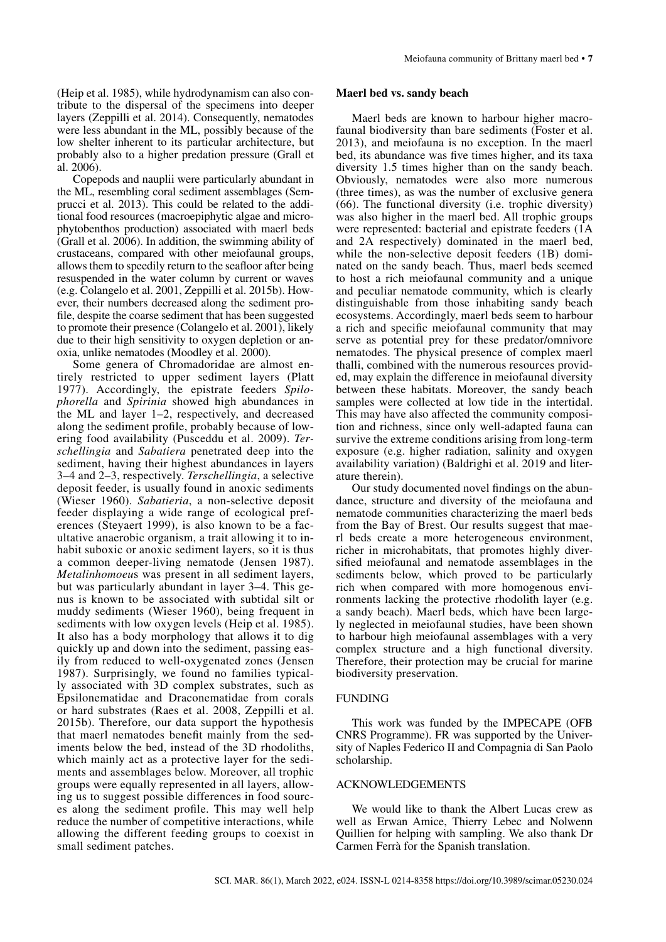(Heip et al. 1985), while hydrodynamism can also contribute to the dispersal of the specimens into deeper layers (Zeppilli et al. 2014). Consequently, nematodes were less abundant in the ML, possibly because of the low shelter inherent to its particular architecture, but probably also to a higher predation pressure (Grall et al. 2006).

Copepods and nauplii were particularly abundant in the ML, resembling coral sediment assemblages (Semprucci et al. 2013). This could be related to the additional food resources (macroepiphytic algae and microphytobenthos production) associated with maerl beds (Grall et al. 2006). In addition, the swimming ability of crustaceans, compared with other meiofaunal groups, allows them to speedily return to the seafloor after being resuspended in the water column by current or waves (e.g. Colangelo et al. 2001, Zeppilli et al. 2015b). However, their numbers decreased along the sediment profile, despite the coarse sediment that has been suggested to promote their presence (Colangelo et al. 2001), likely due to their high sensitivity to oxygen depletion or anoxia, unlike nematodes (Moodley et al. 2000).

Some genera of Chromadoridae are almost entirely restricted to upper sediment layers (Platt 1977). Accordingly, the epistrate feeders *Spilophorella* and *Spirinia* showed high abundances in the ML and layer 1–2, respectively, and decreased along the sediment profile, probably because of lowering food availability (Pusceddu et al. 2009). *Terschellingia* and *Sabatiera* penetrated deep into the sediment, having their highest abundances in layers 3–4 and 2–3, respectively. *Terschellingia*, a selective deposit feeder, is usually found in anoxic sediments (Wieser 1960). *Sabatieria*, a non-selective deposit feeder displaying a wide range of ecological preferences (Steyaert 1999), is also known to be a facultative anaerobic organism, a trait allowing it to inhabit suboxic or anoxic sediment layers, so it is thus a common deeper-living nematode (Jensen 1987). *Metalinhomoeu*s was present in all sediment layers, but was particularly abundant in layer 3–4. This genus is known to be associated with subtidal silt or muddy sediments (Wieser 1960), being frequent in sediments with low oxygen levels (Heip et al. 1985). It also has a body morphology that allows it to dig quickly up and down into the sediment, passing easily from reduced to well-oxygenated zones (Jensen 1987). Surprisingly, we found no families typically associated with 3D complex substrates, such as Epsilonematidae and Draconematidae from corals or hard substrates (Raes et al. 2008, Zeppilli et al. 2015b). Therefore, our data support the hypothesis that maerl nematodes benefit mainly from the sediments below the bed, instead of the 3D rhodoliths, which mainly act as a protective layer for the sediments and assemblages below. Moreover, all trophic groups were equally represented in all layers, allowing us to suggest possible differences in food sources along the sediment profile. This may well help reduce the number of competitive interactions, while allowing the different feeding groups to coexist in small sediment patches.

### **Maerl bed vs. sandy beach**

Maerl beds are known to harbour higher macrofaunal biodiversity than bare sediments (Foster et al. 2013), and meiofauna is no exception. In the maerl bed, its abundance was five times higher, and its taxa diversity 1.5 times higher than on the sandy beach. Obviously, nematodes were also more numerous (three times), as was the number of exclusive genera (66). The functional diversity (i.e. trophic diversity) was also higher in the maerl bed. All trophic groups were represented: bacterial and epistrate feeders (1A and 2A respectively) dominated in the maerl bed, while the non-selective deposit feeders (1B) dominated on the sandy beach. Thus, maerl beds seemed to host a rich meiofaunal community and a unique and peculiar nematode community, which is clearly distinguishable from those inhabiting sandy beach ecosystems. Accordingly, maerl beds seem to harbour a rich and specific meiofaunal community that may serve as potential prey for these predator/omnivore nematodes. The physical presence of complex maerl thalli, combined with the numerous resources provided, may explain the difference in meiofaunal diversity between these habitats. Moreover, the sandy beach samples were collected at low tide in the intertidal. This may have also affected the community composition and richness, since only well-adapted fauna can survive the extreme conditions arising from long-term exposure (e.g. higher radiation, salinity and oxygen availability variation) (Baldrighi et al. 2019 and literature therein).

Our study documented novel findings on the abundance, structure and diversity of the meiofauna and nematode communities characterizing the maerl beds from the Bay of Brest. Our results suggest that maerl beds create a more heterogeneous environment, richer in microhabitats, that promotes highly diversified meiofaunal and nematode assemblages in the sediments below, which proved to be particularly rich when compared with more homogenous environments lacking the protective rhodolith layer (e.g. a sandy beach). Maerl beds, which have been largely neglected in meiofaunal studies, have been shown to harbour high meiofaunal assemblages with a very complex structure and a high functional diversity. Therefore, their protection may be crucial for marine biodiversity preservation.

#### FUNDING

This work was funded by the IMPECAPE (OFB CNRS Programme). FR was supported by the University of Naples Federico II and Compagnia di San Paolo scholarship.

#### ACKNOWLEDGEMENTS

We would like to thank the Albert Lucas crew as well as Erwan Amice, Thierry Lebec and Nolwenn Quillien for helping with sampling. We also thank Dr Carmen Ferrà for the Spanish translation.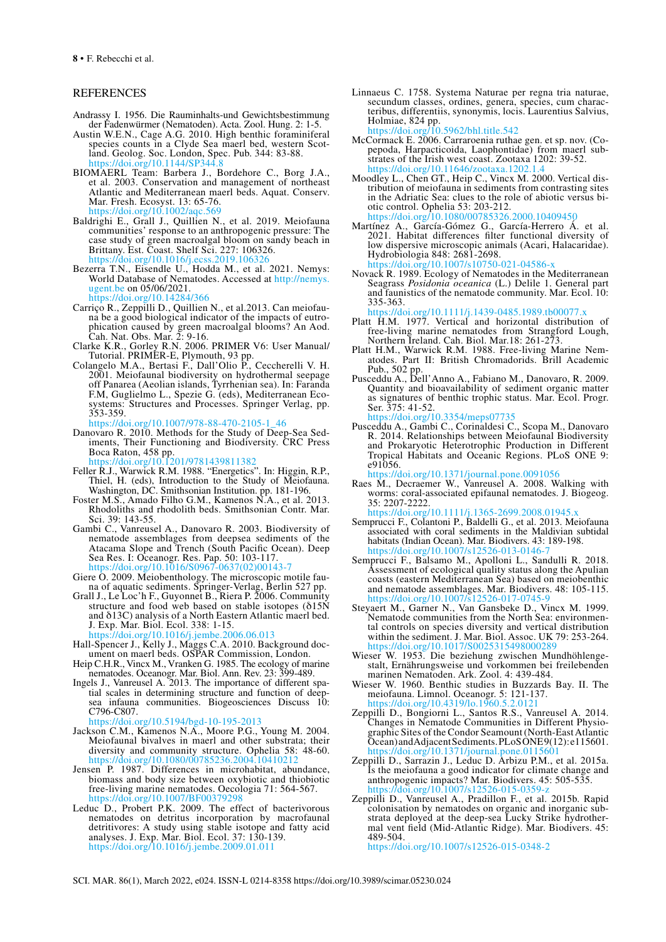## REFERENCES

- Andrassy I. 1956. Die Rauminhalts-und Gewichtsbestimmung der Fadenwürmer (Nematoden). Acta. Zool. Hung. 2: 1-5.
- Austin W.E.N., Cage A.G. 2010. High benthic foraminiferal land. Geolog. Soc. London, Spec. Pub. 344: 83-88.  $\frac{1}{\text{doi.org}}$
- BIOMAERL Team: Barbera J., Bordehore C., Borg J.A., et al. 2003. Conservation and management of northeast Atlantic and Mediterranean maerl beds. Aquat. Conserv. Mar. Fresh. Ecosyst. 13: 65-76. <https://doi.org/10.1002/aqc.569>
- Baldrighi E., Grall J., Quillien N., et al. 2019. Meiofauna communities' response to an anthropogenic pressure: The case study of green macroalgal bloom on sandy beach in Brittany. Est. Coast. Shelf Sci. 227: 106326. <https://doi.org/10.1016/j.ecss.2019.106326>
- Bezerra T.N., Eisendle U., Hodda M., et al. 2021. Nemys: World Database of Nematodes. Accessed at [http://nemys.](http://nemys.ugent.be) [ugent.be](http://nemys.ugent.be) on 05/06/2021.
- <https://doi.org/10.14284/366><br>Carriço R., Zeppilli D., Quillien N., et al.2013. Can meiofau-Carriço R., Zeppilli D., Quillien N., et al.2013. Can meiofau- na be a good biological indicator of the impacts of eutro- phication caused by green macroalgal blooms? An Aod. Cah. Nat. Obs. Mar. 2: 9-16.
- Clarke K.R., Gorley R.N. 2006. PRIMER V6: User Manual/ Tutorial. PRIMER-E, Plymouth, 93 pp.
- Colangelo M.A., Bertasi F., Dall'Olio P., Ceccherelli V. H. 2001. Meiofaunal biodiversity on hydrothermal seepage off Panarea (Aeolian islands, Tyrrhenian sea). In: Faranda F.M, Guglielmo L., Spezie G. (eds), Mediterranean Eco- systems: Structures and Processes. Springer Verlag, pp. 353-359.

[https://doi.org/10.1007/978-88-470-2105-1\\_46](https://doi.org/10.1007/978-88-470-2105-1_46)

Danovaro R. 2010. Methods for the Study of Deep-Sea Sed- iments, Their Functioning and Biodiversity. CRC Press Boca Raton, 458 pp.

<https://doi.org/10.1201/9781439811382>

- Feller R.J., Warwick R.M. 1988. "Energetics". In: Higgin, R.P., Thiel, H. (eds), Introduction to the Study of Meiofauna. Washington, DC. Smithsonian Institution. pp. 181-196.
- Foster M.S., Amado Filho G.M., Kamenos N.A., et al. 2013. Rhodoliths and rhodolith beds. Smithsonian Contr. Mar. Sci. 39: 143-55.
- Gambi C., Vanreusel A., Danovaro R. 2003. Biodiversity of nematode assemblages from deepsea sediments of the Atacama Slope and Trench (South Pacific Ocean). Deep Sea Res. I: Oceanogr. Res. Pap. 50: 103-117. [https://doi.org/10.1016/S0967-0637\(02\)00143-7](https://doi.org/10.1016/S0967-0637(02)00143-7)<br>Giere O. 2009. Meiobenthology. The microscopic motile fau-
- na of aquatic sediments. Springer-Verlag, Berlin 527 pp.
- Grall J., Le Loc'h F., Guyonnet B., Riera P. 2006. Community structure and food web based on stable isotopes (δ15N and δ13C) analysis of a North Eastern Atlantic maerl bed. J. Exp. Mar. Biol. Ecol. 338: 1-15.

<https://doi.org/10.1016/j.jembe.2006.06.013>

- Hall-Spencer J., Kelly J., Maggs C.A. 2010. Background doc- ument on maerl beds. OSPAR Commission, London. Heip C.H.R., Vincx M., Vranken G. 1985. The ecology of marine
- nematodes. Oceanogr. Mar. Biol. Ann. Rev. 23: 399-489.
- Ingels J., Vanreusel A. 2013. The importance of different spa- tial scales in determining structure and function of deeptial scales in determining structure and function of deep-<br>sea infauna communities. Biogeosciences Discuss 10: C796-C807.

<https://doi.org/10.5194/bgd-10-195-2013>

- Jackson C.M., Kamenos N.A., Moore P.G., Young M. 2004. Meiofaunal bivalves in maerl and other substrata; their diversity and community structure. Ophelia 58: 48-60. <https://doi.org/10.1080/00785236.2004.10410212>
- Jensen P. 1987. Differences in microhabitat, abundance, biomass and body size between oxybiotic and thiobiotic free-living marine nematodes. Oecologia 71: 564-567. <https://doi.org/10.1007/BF00379298>
- Leduc D., Probert P.K. 2009. The effect of bacterivorous nematodes on detritus incorporation by macrofaunal detritivores: A study using stable isotope and fatty acid analyses. J. Exp. Mar. Biol. Ecol. 37: 130-139. <https://doi.org/10.1016/j.jembe.2009.01.011>

Linnaeus C. 1758. Systema Naturae per regna tria naturae, secundum classes, ordines, genera, species, cum charac- teribus, differentiis, synonymis, locis. Laurentius Salvius, Holmiae, 824 pp.<br>https://doi.org/10  $h(10.5962/bh1.$ title.542

McCormack E. 2006. Carraroenia ruthae gen. et sp. nov. (Co-<br>pepoda, Harpacticoida, Laophontidae) from maerl sub-<br>strates of the Irish west coast. Zootaxa 1202: 39-52. <https://doi.org/10.11646/zootaxa.1202.1.4><br>Moodley L., Chen GT., Heip C., Vincx M. 2000. Vertical dis-

tribution of meiofauna in sediments from contrasting sites<br>in the Adriatic Sea: clues to the role of abiotic versus biin the Adriatic Sea: clues to the Sea: clues to the control. Ophelia 53: 203-212.<br>https://doi.org/10.1080/00785326.2000.10409450

Martínez A., García-Gómez G., García-Herrero Á. et al. 2021. Habitat differences filter functional diversity of low dispersive microscopic animals (Acari, Halacaridae). Hydrobiologia 848: 2681-2698. <https://doi.org/10.1007/s10750-021-04586-x>

Novack R. 1989. Ecology of Nematodes in the Mediterranean Seagrass *Posidonia oceanica* (L.) Delile 1. General part and faunistics of the nematode community. Mar. Ecol. 10: 335-363.

<https://doi.org/10.1111/j.1439-0485.1989.tb00077.x>

- Platt H.M. 1977. Vertical and horizontal distribution of free-living marine nematodes from Strangford Lough, Northern Ireland. Cah. Biol. Mar.18: 261-273.
- Platt H.M., Warwick R.M. 1988. Free-living Marine Nem- atodes. Part II: British Chromadorids. Brill Academic atodes. Part II: British Chromadorids. Brill Academic Pub., 502 pp.
- Pusceddu A., Dell'Anno A., Fabiano M., Danovaro, R. 2009. Quantity and bioavailability of sediment organic matter as signatures of benthic trophic status. Mar. Ecol. Progr. Ser. 375: 41-52.

<https://doi.org/10.3354/meps07735>

Pusceddu A., Gambi C., Corinaldesi C., Scopa M., Danovaro R. 2014. Relationships between Meiofaunal Biodiversity and Prokaryotic Heterotrophic Production in Different Tropical Habitats and Oceanic Regions. PLoS ONE 9: e91056.

<https://doi.org/10.1371/journal.pone.0091056>

Raes M., Decraemer W., Vanreusel A. 2008. Walking with worms: coral-associated epifaunal nematodes. J. Biogeog. 35: 2207-2222.

<https://doi.org/10.1111/j.1365-2699.2008.01945.x>

- Semprucci F., Colantoni P., Baldelli G., et al. 2013. Meiofauna associated with coral sediments in the Maldivian subtidal habitats (Indian Ocean). Mar. Biodivers. 43: 189-198. <https://doi.org/10.1007/s12526-013-0146-7>
- Semprucci F., Balsamo M., Apolloni L., Sandulli R. 2018. Assessment of ecological quality status along the Apulian coasts (eastern Mediterranean Sea) based on meiobenthic and nematode assemblages. Mar. Biodivers. 48: 105-115. https://doi.org/10.1007/
- Steyaert M., Garner N., Van Gansbeke D., Vincx M. 1999. Nematode communities from the North Sea: environmen- tal controls on species diversity and vertical distribution tal controls on species diversity and vertical distribution within the sediment. J. Mar. Biol. Assoc. UK 79: 253-264. <https://doi.org/10.1017/S0025315498000289><br>Wieser W. 1953. Die beziehung zwischen Mundhöhlenge-
- Wieser W. 1953. Die beziehung zwischen Mundhöhlenge- stalt, Ernährungsweise und vorkommen bei freilebenden marinen Nematoden. Ark. Zool. 4: 439-484.
- Wieser W. 1960. Benthic studies in Buzzards Bay. II. The meiofauna. Limnol. Oceanogr. 5: 121-137. https://doi.org/10.4319/lo.1960
- Zeppilli D., Bongiorni L., Santos R.S., Vanreusel A. 2014. Changes in Nematode Communities in Different Physio- graphic Sites of the Condor Seamount (North-East Atlantic Ocean) and Adjacent Sediments. PLoS ONE 9(12): e115601. <https://doi.org/10.1371/journal.pone.0115601>
- Zeppilli D., Sarrazin J., Leduc D. Arbizu P.M., et al. 2015a. Is the meiofauna a good indicator for climate change and anthropogenic impacts? Mar. Biodivers. 45: 505-535. <https://doi.org/10.1007/s12526-015-0359-z>
- Zeppilli D., Vanreusel A., Pradillon F., et al. 2015b. Rapid colonisation by nematodes on organic and inorganic sub- strata deployed at the deep-sea Lucky Strike hydrother- mal vent field (Mid-Atlantic Ridge). Mar. Biodivers. 45: 489-504. <https://doi.org/10.1007/s12526-015-0348-2>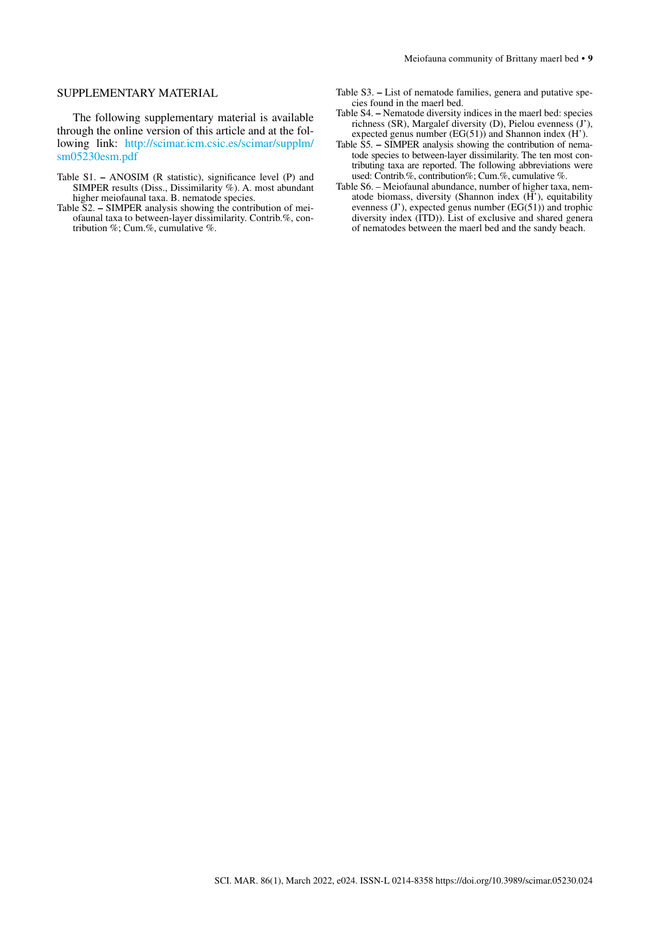# SUPPLEMENTARY MATERIAL

The following supplementary material is available through the online version of this article and at the following link: [http://scimar.icm.csic.es/scimar/supplm/](http://scimar.icm.csic.es/scimar/supplm/sm05230esm.pdf) [sm05230esm.pdf](http://scimar.icm.csic.es/scimar/supplm/sm05230esm.pdf)

- Table S1.ANOSIM (R statistic), significance level (P) and SIMPER results (Diss., Dissimilarity %). A. most abundant higher meiofaunal taxa. B. nematode species.
- Table S2.SIMPER analysis showing the contribution of meiofaunal taxa to between-layer dissimilarity. Contrib.%, contribution %; Cum.%, cumulative %.
- Table S3.List of nematode families, genera and putative species found in the maerl bed.
- Table S4.Nematode diversity indices in the maerl bed: species richness (SR), Margalef diversity (D), Pielou evenness (J'), expected genus number  $(EG(51))$  and Shannon index  $(H')$ .
- Table S5.SIMPER analysis showing the contribution of nematode species to between-layer dissimilarity. The ten most contributing taxa are reported. The following abbreviations were used: Contrib.%, contribution%; Cum.%, cumulative %.
- Table S6. Meiofaunal abundance, number of higher taxa, nematode biomass, diversity (Shannon index (H'), equitability evenness  $(J')$ , expected genus number  $(EG(51))$  and trophic diversity index (ITD)). List of exclusive and shared genera of nematodes between the maerl bed and the sandy beach.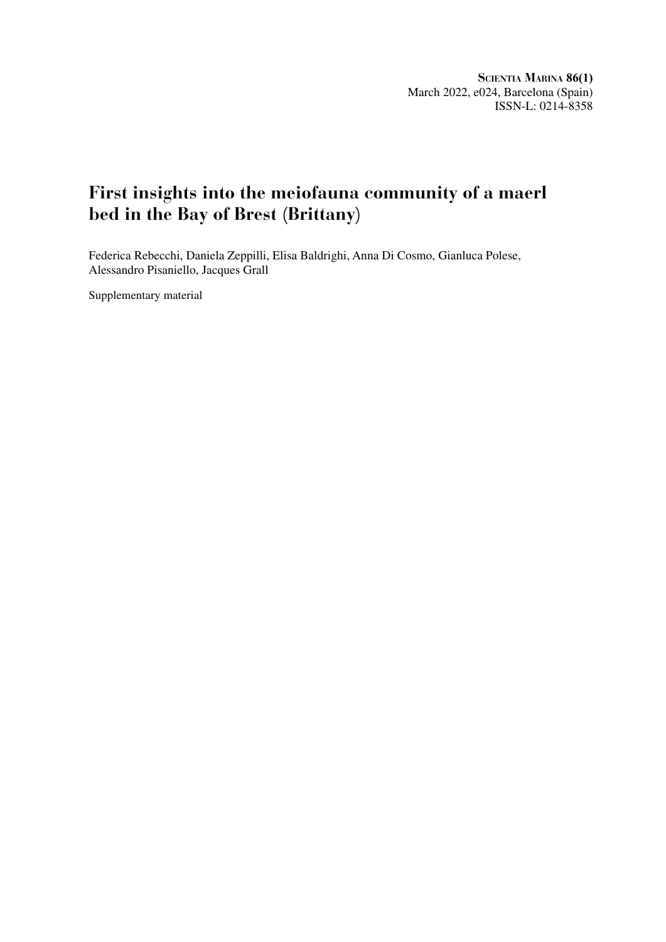# **First insights into the meiofauna community of a maerl bed in the Bay of Brest (Brittany)**

Federica Rebecchi, Daniela Zeppilli, Elisa Baldrighi, Anna Di Cosmo, Gianluca Polese, Alessandro Pisaniello, Jacques Grall

Supplementary material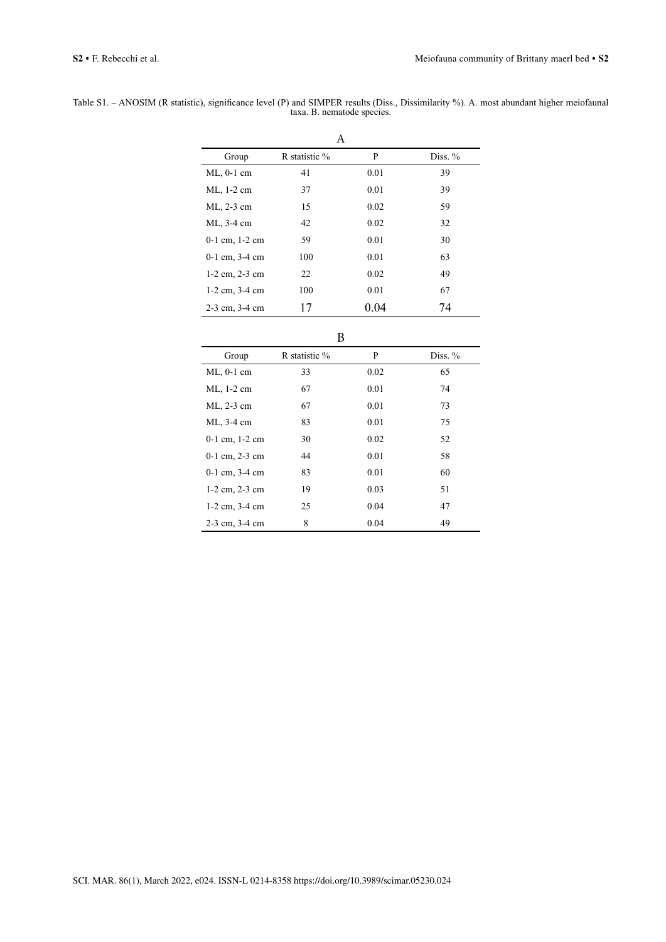| Table S1. - ANOSIM (R statistic), significance level (P) and SIMPER results (Diss., Dissimilarity %). A. most abundant higher meiofaunal |                            |  |  |
|------------------------------------------------------------------------------------------------------------------------------------------|----------------------------|--|--|
|                                                                                                                                          | taxa. B. nematode species. |  |  |

| A                  |               |      |           |  |  |  |  |
|--------------------|---------------|------|-----------|--|--|--|--|
| Group              | R statistic % | P    | Diss. $%$ |  |  |  |  |
| $ML$ , 0-1 cm      | 41            | 0.01 | 39        |  |  |  |  |
| ML, 1-2 cm         | 37            | 0.01 | 39        |  |  |  |  |
| ML, 2-3 cm         | 15            | 0.02 | 59        |  |  |  |  |
| ML, 3-4 cm         | 42            | 0.02 | 32        |  |  |  |  |
| $0-1$ cm, $1-2$ cm | 59            | 0.01 | 30        |  |  |  |  |
| $0-1$ cm, $3-4$ cm | 100           | 0.01 | 63        |  |  |  |  |
| $1-2$ cm, $2-3$ cm | 22            | 0.02 | 49        |  |  |  |  |
| $1-2$ cm, $3-4$ cm | 100           | 0.01 | 67        |  |  |  |  |
| $2-3$ cm, $3-4$ cm | 17            | 0.04 | 74        |  |  |  |  |

| ۰.<br>۰. |  |
|----------|--|

|                    | ້             |      |           |
|--------------------|---------------|------|-----------|
| Group              | R statistic % | P    | Diss. $%$ |
| $ML$ , 0-1 cm      | 33            | 0.02 | 65        |
| ML, 1-2 cm         | 67            | 0.01 | 74        |
| ML, 2-3 cm         | 67            | 0.01 | 73        |
| ML, 3-4 cm         | 83            | 0.01 | 75        |
| $0-1$ cm, $1-2$ cm | 30            | 0.02 | 52        |
| $0-1$ cm, $2-3$ cm | 44            | 0.01 | 58        |
| $0-1$ cm, $3-4$ cm | 83            | 0.01 | 60        |
| $1-2$ cm, $2-3$ cm | 19            | 0.03 | 51        |
| $1-2$ cm, $3-4$ cm | 25            | 0.04 | 47        |
| 2-3 cm, 3-4 cm     | 8             | 0.04 | 49        |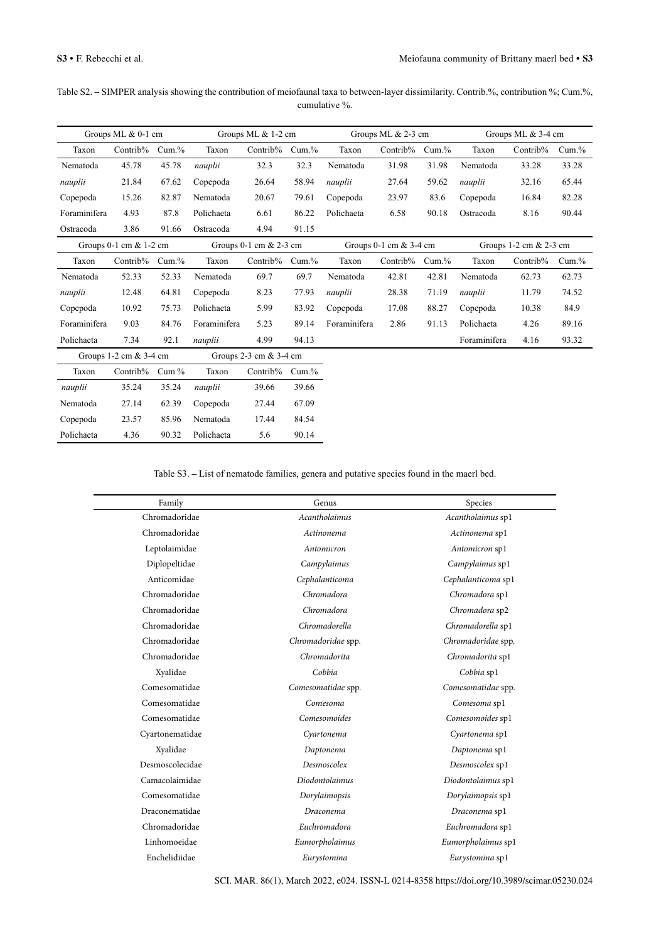| Table S2. – SIMPER analysis showing the contribution of meiofaunal taxa to between-layer dissimilarity. Contrib.%, contribution %; Cum.%, |  |
|-------------------------------------------------------------------------------------------------------------------------------------------|--|
| cumulative %.                                                                                                                             |  |

|              | Groups ML & 0-1 cm          |           |              | Groups ML $& 1-2$ cm       |           |              | Groups ML $& 2-3$ cm        |           |              | Groups ML $&$ 3-4 cm   |       |
|--------------|-----------------------------|-----------|--------------|----------------------------|-----------|--------------|-----------------------------|-----------|--------------|------------------------|-------|
| Taxon        | Contrib%                    | Cum.%     | Taxon        | Contrib%                   | $Cum. \%$ | Taxon        | Contrib%                    | $Cum.$ %  | Taxon        | Contrib%               | Cum.% |
| Nematoda     | 45.78                       | 45.78     | nauplii      | 32.3                       | 32.3      | Nematoda     | 31.98                       | 31.98     | Nematoda     | 33.28                  | 33.28 |
| nauplii      | 21.84                       | 67.62     | Copepoda     | 26.64                      | 58.94     | nauplii      | 27.64                       | 59.62     | nauplii      | 32.16                  | 65.44 |
| Copepoda     | 15.26                       | 82.87     | Nematoda     | 20.67                      | 79.61     | Copepoda     | 23.97                       | 83.6      | Copepoda     | 16.84                  | 82.28 |
| Foraminifera | 4.93                        | 87.8      | Polichaeta   | 6.61                       | 86.22     | Polichaeta   | 6.58                        | 90.18     | Ostracoda    | 8.16                   | 90.44 |
| Ostracoda    | 3.86                        | 91.66     | Ostracoda    | 4.94                       | 91.15     |              |                             |           |              |                        |       |
|              | Groups $0-1$ cm $\&$ 1-2 cm |           |              | Groups $0-1$ cm $& 2-3$ cm |           |              | Groups $0-1$ cm $\&$ 3-4 cm |           |              | Groups 1-2 cm & 2-3 cm |       |
| Taxon        | Contrib%                    | $Cum. \%$ | Taxon        | Contrib%                   | $Cum. \%$ | Taxon        | Contrib%                    | $Cum. \%$ | Taxon        | Contrib%               | Cum.% |
| Nematoda     | 52.33                       | 52.33     | Nematoda     | 69.7                       | 69.7      | Nematoda     | 42.81                       | 42.81     | Nematoda     | 62.73                  | 62.73 |
| nauplii      | 12.48                       | 64.81     | Copepoda     | 8.23                       | 77.93     | nauplii      | 28.38                       | 71.19     | nauplii      | 11.79                  | 74.52 |
| Copepoda     | 10.92                       | 75.73     | Polichaeta   | 5.99                       | 83.92     | Copepoda     | 17.08                       | 88.27     | Copepoda     | 10.38                  | 84.9  |
| Foraminifera | 9.03                        | 84.76     | Foraminifera | 5.23                       | 89.14     | Foraminifera | 2.86                        | 91.13     | Polichaeta   | 4.26                   | 89.16 |
| Polichaeta   | 7.34                        | 92.1      | nauplii      | 4.99                       | 94.13     |              |                             |           | Foraminifera | 4.16                   | 93.32 |
|              | Groups 1-2 cm & 3-4 cm      |           |              | Groups 2-3 cm & 3-4 cm     |           |              |                             |           |              |                        |       |
| Taxon        | Contrib%                    | Cum $%$   | Taxon        | Contrib%                   | $Cum. \%$ |              |                             |           |              |                        |       |
| nauplii      | 35.24                       | 35.24     | nauplii      | 39.66                      | 39.66     |              |                             |           |              |                        |       |
| Nematoda     | 27.14                       | 62.39     | Copepoda     | 27.44                      | 67.09     |              |                             |           |              |                        |       |
| Copepoda     | 23.57                       | 85.96     | Nematoda     | 17.44                      | 84.54     |              |                             |           |              |                        |       |
| Polichaeta   | 4.36                        | 90.32     | Polichaeta   | 5.6                        | 90.14     |              |                             |           |              |                        |       |

Table S3. **–** List of nematode families, genera and putative species found in the maerl bed.

| Family          | Genus                 | Species            |
|-----------------|-----------------------|--------------------|
| Chromadoridae   | Acantholaimus         | Acantholaimus sp1  |
| Chromadoridae   | Actinonema            | Actinonema sp1     |
| Leptolaimidae   | Antomicron            | Antomicron sp1     |
| Diplopeltidae   | Campylaimus           | Campylaimus sp1    |
| Anticomidae     | Cephalanticoma        | Cephalanticoma sp1 |
| Chromadoridae   | Chromadora            | Chromadora sp1     |
| Chromadoridae   | Chromadora            | Chromadora sp2     |
| Chromadoridae   | Chromadorella         | Chromadorella sp1  |
| Chromadoridae   | Chromadoridae spp.    | Chromadoridae spp. |
| Chromadoridae   | Chromadorita          | Chromadorita sp1   |
| Xyalidae        | Cobbia                | Cobbia sp1         |
| Comesomatidae   | Comesomatidae spp.    | Comesomatidae spp. |
| Comesomatidae   | Comesoma              | Comesoma sp1       |
| Comesomatidae   | Comesomoides          | Comesomoides sp1   |
| Cyartonematidae | Cyartonema            | Cyartonema sp1     |
| Xyalidae        | Daptonema             | Daptonema sp1      |
| Desmoscolecidae | Desmoscolex           | Desmoscolex sp1    |
| Camacolaimidae  | <b>Diodontolaimus</b> | Diodontolaimus sp1 |
| Comesomatidae   | Dorylaimopsis         | Dorylaimopsis sp1  |
| Draconematidae  | Draconema             | Draconema sp1      |
| Chromadoridae   | Euchromadora          | Euchromadora sp1   |
| Linhomoeidae    | Eumorpholaimus        | Eumorpholaimus sp1 |
| Enchelidiidae   | Eurystomina           | Eurystomina sp1    |
|                 |                       |                    |

SCI. MAR. 86(1), March 2022, e024. ISSN-L 0214-8358 https://doi.org/10.3989/scimar.05230.024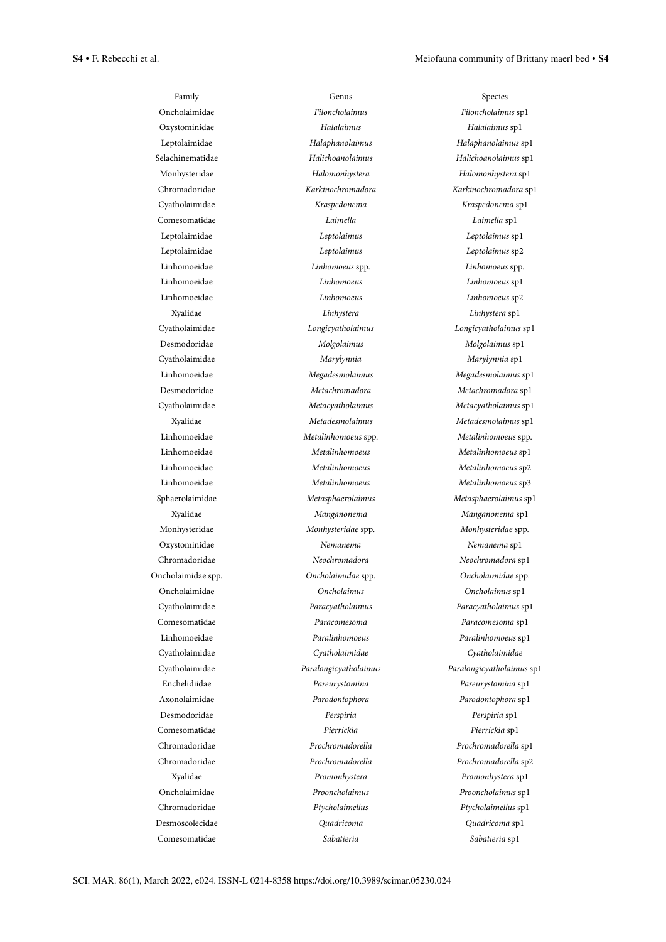| Family             | Genus                 | Species                   |
|--------------------|-----------------------|---------------------------|
| Oncholaimidae      | Filoncholaimus        | Filoncholaimus sp1        |
| Oxystominidae      | Halalaimus            | Halalaimus sp1            |
| Leptolaimidae      | Halaphanolaimus       | Halaphanolaimus sp1       |
| Selachinematidae   | Halichoanolaimus      | Halichoanolaimus sp1      |
| Monhysteridae      | Halomonhystera        | Halomonhystera sp1        |
| Chromadoridae      | Karkinochromadora     | Karkinochromadora sp1     |
| Cyatholaimidae     | Kraspedonema          | Kraspedonema sp1          |
| Comesomatidae      | Laimella              | Laimella sp1              |
| Leptolaimidae      | Leptolaimus           | Leptolaimus sp1           |
| Leptolaimidae      | Leptolaimus           | Leptolaimus sp2           |
| Linhomoeidae       | Linhomoeus spp.       | Linhomoeus spp.           |
| Linhomoeidae       | Linhomoeus            | Linhomoeus sp1            |
| Linhomoeidae       | Linhomoeus            | Linhomoeus sp2            |
| Xyalidae           | Linhystera            | Linhystera sp1            |
| Cyatholaimidae     | Longicyatholaimus     | Longicyatholaimus sp1     |
| Desmodoridae       | Molgolaimus           | Molgolaimus sp1           |
| Cyatholaimidae     | Marylynnia            | Marylynnia sp1            |
| Linhomoeidae       | Megadesmolaimus       | Megadesmolaimus sp1       |
| Desmodoridae       | Metachromadora        | Metachromadora sp1        |
| Cyatholaimidae     | Metacyatholaimus      | Metacyatholaimus sp1      |
| Xyalidae           | Metadesmolaimus       | Metadesmolaimus sp1       |
| Linhomoeidae       | Metalinhomoeus spp.   | Metalinhomoeus spp.       |
| Linhomoeidae       | Metalinhomoeus        | Metalinhomoeus sp1        |
| Linhomoeidae       | Metalinhomoeus        | Metalinhomoeus sp2        |
| Linhomoeidae       | Metalinhomoeus        | Metalinhomoeus sp3        |
| Sphaerolaimidae    | Metasphaerolaimus     | Metasphaerolaimus sp1     |
| Xyalidae           | Manganonema           | Manganonema sp1           |
| Monhysteridae      | Monhysteridae spp.    | Monhysteridae spp.        |
| Oxystominidae      | Nemanema              | Nemanema sp1              |
| Chromadoridae      | Neochromadora         | Neochromadora sp1         |
| Oncholaimidae spp. | Oncholaimidae spp.    | Oncholaimidae spp.        |
| Oncholaimidae      | Oncholaimus           | Oncholaimus sp1           |
| Cyatholaimidae     | Paracyatholaimus      | Paracyatholaimus sp1      |
| Comesomatidae      | Paracomesoma          | Paracomesoma sp1          |
| Linhomoeidae       | Paralinhomoeus        | Paralinhomoeus sp1        |
| Cyatholaimidae     | Cyatholaimidae        | Cyatholaimidae            |
| Cyatholaimidae     | Paralongicyatholaimus | Paralongicyatholaimus sp1 |
| Enchelidiidae      | Pareurystomina        | Pareurystomina sp1        |
| Axonolaimidae      | Parodontophora        | Parodontophora sp1        |
| Desmodoridae       | Perspiria             | Perspiria sp1             |
| Comesomatidae      | Pierrickia            | Pierrickia sp1            |
| Chromadoridae      | Prochromadorella      | Prochromadorella sp1      |
| Chromadoridae      | Prochromadorella      | Prochromadorella sp2      |
| Xyalidae           | Promonhystera         | Promonhystera sp1         |
| Oncholaimidae      | Prooncholaimus        | Prooncholaimus sp1        |
| Chromadoridae      | Ptycholaimellus       | Ptycholaimellus sp1       |
| Desmoscolecidae    | Quadricoma            | Quadricoma sp1            |
| Comesomatidae      | Sabatieria            | Sabatieria sp1            |
|                    |                       |                           |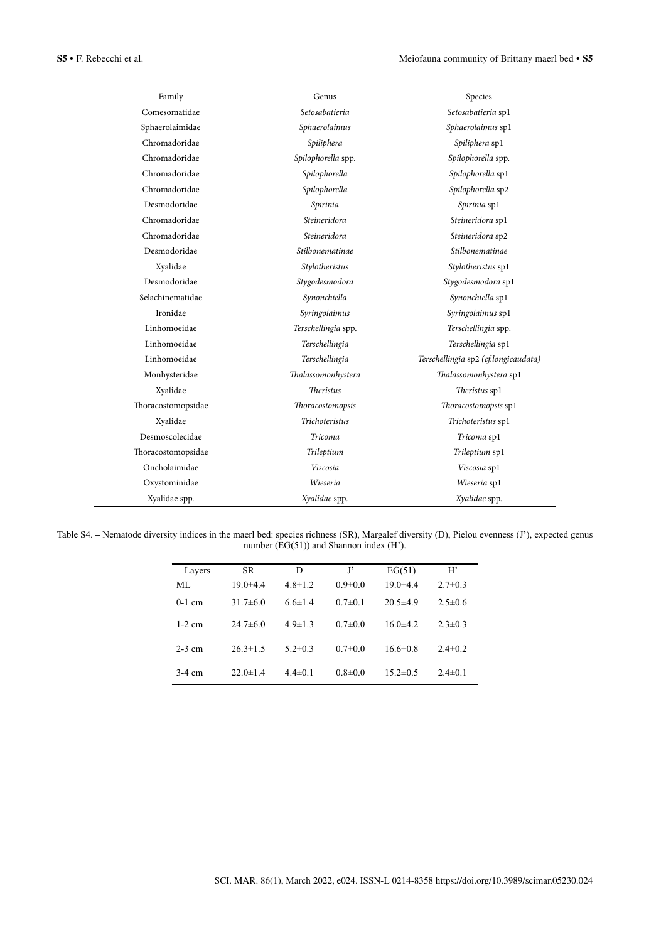| Family             | Genus               | Species                              |  |  |
|--------------------|---------------------|--------------------------------------|--|--|
| Comesomatidae      | Setosabatieria      | Setosabatieria sp1                   |  |  |
| Sphaerolaimidae    | Sphaerolaimus       | Sphaerolaimus sp1                    |  |  |
| Chromadoridae      | Spiliphera          | Spiliphera sp1                       |  |  |
| Chromadoridae      | Spilophorella spp.  | Spilophorella spp.                   |  |  |
| Chromadoridae      | Spilophorella       | Spilophorella sp1                    |  |  |
| Chromadoridae      | Spilophorella       | Spilophorella sp2                    |  |  |
| Desmodoridae       | Spirinia            | Spirinia sp1                         |  |  |
| Chromadoridae      | Steineridora        | Steineridora sp1                     |  |  |
| Chromadoridae      | Steineridora        | Steineridora sp2                     |  |  |
| Desmodoridae       | Stilbonematinae     | Stilbonematinae                      |  |  |
| Xyalidae           | Stylotheristus      | Stylotheristus sp1                   |  |  |
| Desmodoridae       | Stygodesmodora      | Stygodesmodora sp1                   |  |  |
| Selachinematidae   | Synonchiella        | Synonchiella sp1                     |  |  |
| Ironidae           | Syringolaimus       | Syringolaimus sp1                    |  |  |
| Linhomoeidae       | Terschellingia spp. | Terschellingia spp.                  |  |  |
| Linhomoeidae       | Terschellingia      | Terschellingia sp1                   |  |  |
| Linhomoeidae       | Terschellingia      | Terschellingia sp2 (cf.longicaudata) |  |  |
| Monhysteridae      | Thalassomonhystera  | Thalassomonhystera sp1               |  |  |
| Xyalidae           | <b>Theristus</b>    | Theristus sp1                        |  |  |
| Thoracostomopsidae | Thoracostomopsis    | Thoracostomopsis sp1                 |  |  |
| Xyalidae           | Trichoteristus      | Trichoteristus sp1                   |  |  |
| Desmoscolecidae    | <b>Tricoma</b>      | Tricoma sp1                          |  |  |
| Thoracostomopsidae | Trileptium          | Trileptium sp1                       |  |  |
| Oncholaimidae      | Viscosia            | Viscosia sp1                         |  |  |
| Oxystominidae      | Wieseria            | Wieseria sp1                         |  |  |
| Xyalidae spp.      | Xyalidae spp.       | Xyalidae spp.                        |  |  |

Table S4. **–** Nematode diversity indices in the maerl bed: species richness (SR), Margalef diversity (D), Pielou evenness (J'), expected genus number (EG(51)) and Shannon index (H').

| Layers   | SR.            | D             | $\mathbf{J}$  | EG(51)         | H'            |
|----------|----------------|---------------|---------------|----------------|---------------|
| ML       | $19.0 \pm 4.4$ | $4.8 \pm 1.2$ | $0.9 \pm 0.0$ | $19.0 + 4.4$   | $2.7 \pm 0.3$ |
| $0-1$ cm | $31.7\pm 6.0$  | $6.6 \pm 1.4$ | $0.7 \pm 0.1$ | $20.5 \pm 4.9$ | $2.5 \pm 0.6$ |
| $1-2$ cm | $24.7\pm 6.0$  | $4.9 \pm 1.3$ | $0.7 \pm 0.0$ | $16.0 \pm 4.2$ | $2.3 \pm 0.3$ |
| $2-3$ cm | $26.3 \pm 1.5$ | $5.2 \pm 0.3$ | $0.7 \pm 0.0$ | $16.6 \pm 0.8$ | $2.4 \pm 0.2$ |
| $3-4$ cm | $22.0 \pm 1.4$ | $4.4 \pm 0.1$ | $0.8 \pm 0.0$ | $15.2 \pm 0.5$ | $2.4 \pm 0.1$ |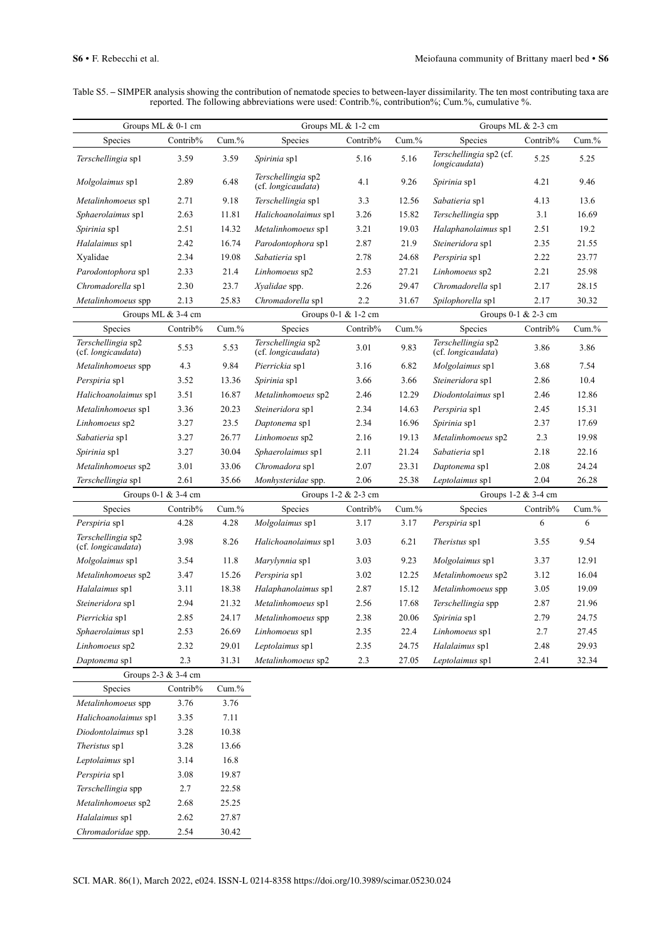Table S5. **–** SIMPER analysis showing the contribution of nematode species to between-layer dissimilarity. The ten most contributing taxa are reported. The following abbreviations were used: Contrib.%, contribution%; Cum.%, cumulative %.

| Groups ML & 0-1 cm                       |          | Groups ML & 1-2 cm |                                          |          | Groups ML & 2-3 cm |                                          |                     |          |
|------------------------------------------|----------|--------------------|------------------------------------------|----------|--------------------|------------------------------------------|---------------------|----------|
| Species                                  | Contrib% | Cum.%              | Species                                  | Contrib% | Cum.%              | Species                                  | Contrib%            | $Cum$ .% |
| Terschellingia sp1                       | 3.59     | 3.59               | <i>Spirinia</i> sp1                      | 5.16     | 5.16               | Terschellingia sp2 (cf.<br>longicaudata) | 5.25                | 5.25     |
| <i>Molgolaimus</i> sp1                   | 2.89     | 6.48               | Terschellingia sp2<br>(cf. longicaudata) | 4.1      | 9.26               | Spirinia sp1                             | 4.21                | 9.46     |
| Metalinhomoeus sp1                       | 2.71     | 9.18               | Terschellingia sp1                       | 3.3      | 12.56              | Sabatieria spl                           | 4.13                | 13.6     |
| Sphaerolaimus sp1                        | 2.63     | 11.81              | Halichoanolaimus sp1                     | 3.26     | 15.82              | Terschellingia spp                       | 3.1                 | 16.69    |
| <i>Spirinia</i> sp1                      | 2.51     | 14.32              | Metalinhomoeus sp1                       | 3.21     | 19.03              | Halaphanolaimus sp1                      | 2.51                | 19.2     |
| Halalaimus sp1                           | 2.42     | 16.74              | Parodontophora sp1                       | 2.87     | 21.9               | Steineridora sp1                         | 2.35                | 21.55    |
| Xyalidae                                 | 2.34     | 19.08              | Sabatieria sp1                           | 2.78     | 24.68              | Perspiria sp1                            | 2.22                | 23.77    |
| Parodontophora sp1                       | 2.33     | 21.4               | Linhomoeus sp2                           | 2.53     | 27.21              | Linhomoeus sp2                           | 2.21                | 25.98    |
| Chromadorella sp1                        | 2.30     | 23.7               | Xyalidae spp.                            | 2.26     | 29.47              | Chromadorella sp1                        | 2.17                | 28.15    |
| Metalinhomoeus spp                       | 2.13     | 25.83              | Chromadorella sp1                        | 2.2      | 31.67              | Spilophorella sp1                        | 2.17                | 30.32    |
| Groups ML & 3-4 cm                       |          |                    | Groups 0-1 & 1-2 cm                      |          |                    |                                          | Groups 0-1 & 2-3 cm |          |
| Species                                  | Contrib% | Cum.%              | Species                                  | Contrib% | $Cum$ .%           | Species                                  | Contrib%            | $Cum$ .% |
| Terschellingia sp2<br>(cf. longicaudata) | 5.53     | 5.53               | Terschellingia sp2<br>(cf. longicaudata) | 3.01     | 9.83               | Terschellingia sp2<br>(cf. longicaudata) | 3.86                | 3.86     |
| Metalinhomoeus spp                       | 4.3      | 9.84               | Pierrickia spl                           | 3.16     | 6.82               | Molgolaimus sp1                          | 3.68                | 7.54     |
| Perspiria spl                            | 3.52     | 13.36              | Spirinia sp1                             | 3.66     | 3.66               | Steineridora sp1                         | 2.86                | 10.4     |
| Halichoanolaimus sp1                     | 3.51     | 16.87              | Metalinhomoeus sp2                       | 2.46     | 12.29              | Diodontolaimus sp1                       | 2.46                | 12.86    |
| Metalinhomoeus sp1                       | 3.36     | 20.23              | Steineridora sp1                         | 2.34     | 14.63              | Perspiria sp1                            | 2.45                | 15.31    |
| Linhomoeus sp2                           | 3.27     | 23.5               | Daptonema sp1                            | 2.34     | 16.96              | Spirinia sp1                             | 2.37                | 17.69    |
| Sabatieria spl                           | 3.27     | 26.77              | Linhomoeus sp2                           | 2.16     | 19.13              | Metalinhomoeus sp2                       | 2.3                 | 19.98    |
| Spirinia sp1                             | 3.27     | 30.04              | Sphaerolaimus sp1                        | 2.11     | 21.24              | Sabatieria spl                           | 2.18                | 22.16    |
| Metalinhomoeus sp2                       | 3.01     | 33.06              | Chromadora sp1                           | 2.07     | 23.31              | Daptonema sp1                            | 2.08                | 24.24    |
| Terschellingia sp1                       | 2.61     | 35.66              | Monhysteridae spp.                       | 2.06     | 25.38              | Leptolaimus sp1                          | 2.04                | 26.28    |
| Groups 0-1 & 3-4 cm                      |          |                    | Groups 1-2 & 2-3 cm                      |          |                    |                                          | Groups 1-2 & 3-4 cm |          |
| Species                                  | Contrib% | Cum.%              | Species                                  | Contrib% | Cum.%              | Species                                  | Contrib%            | Cum.%    |
| Perspiria sp1                            | 4.28     | 4.28               | Molgolaimus sp1                          | 3.17     | 3.17               | Perspiria sp1                            | 6                   | 6        |
| Terschellingia sp2<br>(cf. longicaudata) | 3.98     | 8.26               | Halichoanolaimus sp1                     | 3.03     | 6.21               | Theristus sp1                            | 3.55                | 9.54     |
| Molgolaimus sp1                          | 3.54     | 11.8               | <i>Marylynnia</i> sp1                    | 3.03     | 9.23               | <i>Molgolaimus</i> sp1                   | 3.37                | 12.91    |
| Metalinhomoeus sp2                       | 3.47     | 15.26              | Perspiria sp1                            | 3.02     | 12.25              | Metalinhomoeus sp2                       | 3.12                | 16.04    |
| Halalaimus sp1                           | 3.11     | 18.38              | Halaphanolaimus sp1                      | 2.87     | 15.12              | Metalinhomoeus spp                       | 3.05                | 19.09    |
| Steineridora sp1                         | 2.94     | 21.32              | Metalinhomoeus sp1                       | 2.56     | 17.68              | Terschellingia spp                       | 2.87                | 21.96    |
| Pierrickia sp1                           | 2.85     | 24.17              | Metalinhomoeus spp                       | 2.38     | 20.06              | Spirinia sp1                             | 2.79                | 24.75    |
| Sphaerolaimus sp1                        | 2.53     | 26.69              | Linhomoeus sp1                           | 2.35     | 22.4               | Linhomoeus sp1                           | 2.7                 | 27.45    |
| Linhomoeus sp2                           | 2.32     | 29.01              | Leptolaimus sp1                          | 2.35     | 24.75              | Halalaimus sp1                           | 2.48                | 29.93    |
| Daptonema sp1                            | $2.3\,$  | 31.31              | Metalinhomoeus sp2                       | 2.3      | 27.05              | Leptolaimus sp1                          | 2.41                | 32.34    |
| Groups 2-3 & 3-4 cm                      |          |                    |                                          |          |                    |                                          |                     |          |
| Species                                  | Contrib% | Cum.%              |                                          |          |                    |                                          |                     |          |
| Metalinhomoeus spp                       | 3.76     | 3.76               |                                          |          |                    |                                          |                     |          |
| Halichoanolaimus sp1                     | 3.35     | 7.11               |                                          |          |                    |                                          |                     |          |
| Diodontolaimus sp1                       | 3.28     | 10.38              |                                          |          |                    |                                          |                     |          |
| Theristus sp1                            | 3.28     | 13.66              |                                          |          |                    |                                          |                     |          |
| Leptolaimus sp1                          | 3.14     | 16.8               |                                          |          |                    |                                          |                     |          |
| Perspiria sp1                            | 3.08     | 19.87              |                                          |          |                    |                                          |                     |          |
| Terschellingia spp                       | 2.7      | 22.58              |                                          |          |                    |                                          |                     |          |
| Metalinhomoeus sp2                       | 2.68     | 25.25              |                                          |          |                    |                                          |                     |          |
| Halalaimus sp1                           | 2.62     | 27.87              |                                          |          |                    |                                          |                     |          |
| Chromadoridae spp.                       | 2.54     | 30.42              |                                          |          |                    |                                          |                     |          |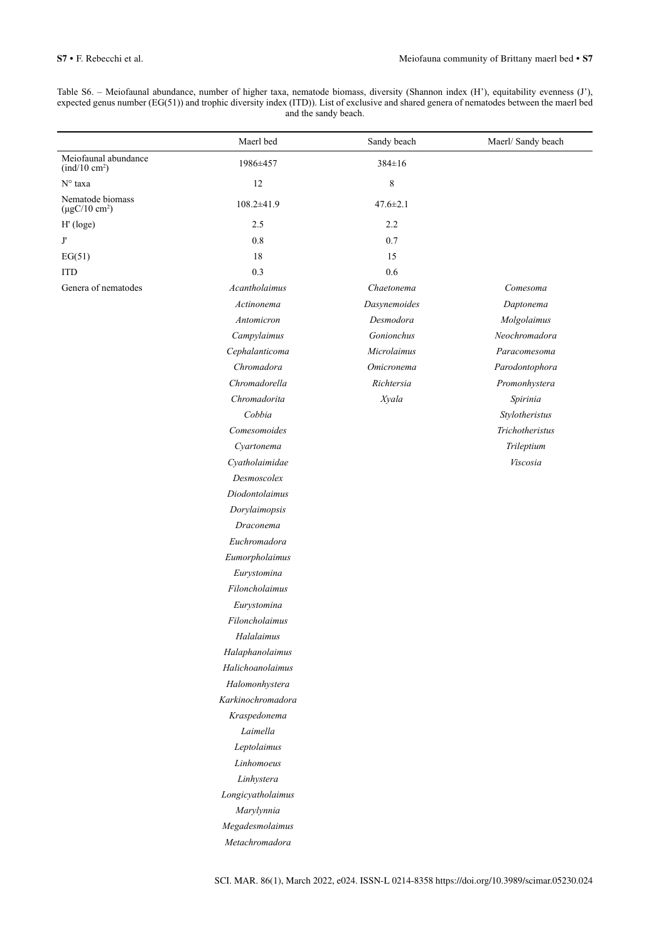Table S6. – Meiofaunal abundance, number of higher taxa, nematode biomass, diversity (Shannon index (H'), equitability evenness (J'), expected genus number (EG(51)) and trophic diversity index (ITD)). List of exclusive and shared genera of nematodes between the maerl bed and the sandy beach.

|                                                                           | Maerl bed         | Sandy beach    | Maerl/ Sandy beach |
|---------------------------------------------------------------------------|-------------------|----------------|--------------------|
| Meiofaunal abundance<br>$\left(\frac{\text{ind}}{10 \text{ cm}^2}\right)$ | 1986±457          | 384±16         |                    |
| N° taxa                                                                   | 12                | 8              |                    |
| Nematode biomass<br>$(\mu gC/10 \text{ cm}^2)$                            | $108.2 \pm 41.9$  | $47.6 \pm 2.1$ |                    |
| H' (loge)                                                                 | 2.5               | 2.2            |                    |
| $\mathbf{J}^\text{\tiny\tiny\tiny\tiny\tiny}$                             | 0.8               | 0.7            |                    |
| EG(51)                                                                    | 18                | 15             |                    |
| <b>ITD</b>                                                                | 0.3               | 0.6            |                    |
| Genera of nematodes                                                       | Acantholaimus     | Chaetonema     | Comesoma           |
|                                                                           | Actinonema        | Dasynemoides   | Daptonema          |
|                                                                           | Antomicron        | Desmodora      | Molgolaimus        |
|                                                                           | Campylaimus       | Gonionchus     | Neochromadora      |
|                                                                           | Cephalanticoma    | Microlaimus    | Paracomesoma       |
|                                                                           | Chromadora        | Omicronema     | Parodontophora     |
|                                                                           | Chromadorella     | Richtersia     | Promonhystera      |
|                                                                           | Chromadorita      | Xyala          | Spirinia           |
|                                                                           | Cobbia            |                | Stylotheristus     |
|                                                                           | Comesomoides      |                | Trichotheristus    |
|                                                                           | Cyartonema        |                | Trileptium         |
|                                                                           | Cyatholaimidae    |                | Viscosia           |
|                                                                           | Desmoscolex       |                |                    |
|                                                                           | Diodontolaimus    |                |                    |
|                                                                           | Dorylaimopsis     |                |                    |
|                                                                           | Draconema         |                |                    |
|                                                                           | Euchromadora      |                |                    |
|                                                                           | Eumorpholaimus    |                |                    |
|                                                                           | Eurystomina       |                |                    |
|                                                                           | Filoncholaimus    |                |                    |
|                                                                           | Eurystomina       |                |                    |
|                                                                           | Filoncholaimus    |                |                    |
|                                                                           | Halalaimus        |                |                    |
|                                                                           | Halaphanolaimus   |                |                    |
|                                                                           | Halichoanolaimus  |                |                    |
|                                                                           | Halomonhystera    |                |                    |
|                                                                           | Karkinochromadora |                |                    |
|                                                                           | Kraspedonema      |                |                    |
|                                                                           | Laimella          |                |                    |
|                                                                           | Leptolaimus       |                |                    |
|                                                                           | Linhomoeus        |                |                    |
|                                                                           | Linhystera        |                |                    |
|                                                                           | Longicyatholaimus |                |                    |
|                                                                           | Marylynnia        |                |                    |
|                                                                           | Megadesmolaimus   |                |                    |
|                                                                           | Metachromadora    |                |                    |